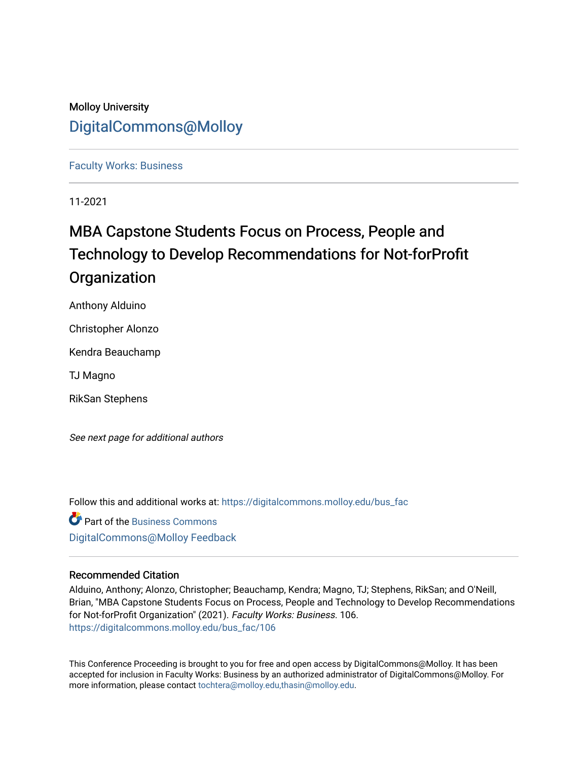### Molloy University [DigitalCommons@Molloy](https://digitalcommons.molloy.edu/)

#### [Faculty Works: Business](https://digitalcommons.molloy.edu/bus_fac)

11-2021

## MBA Capstone Students Focus on Process, People and Technology to Develop Recommendations for Not-forProfit **Organization**

Anthony Alduino

Christopher Alonzo

Kendra Beauchamp

TJ Magno

RikSan Stephens

See next page for additional authors

Follow this and additional works at: [https://digitalcommons.molloy.edu/bus\\_fac](https://digitalcommons.molloy.edu/bus_fac?utm_source=digitalcommons.molloy.edu%2Fbus_fac%2F106&utm_medium=PDF&utm_campaign=PDFCoverPages)

**C** Part of the [Business Commons](https://network.bepress.com/hgg/discipline/622?utm_source=digitalcommons.molloy.edu%2Fbus_fac%2F106&utm_medium=PDF&utm_campaign=PDFCoverPages) [DigitalCommons@Molloy Feedback](https://molloy.libwizard.com/f/dcfeedback)

#### Recommended Citation

Alduino, Anthony; Alonzo, Christopher; Beauchamp, Kendra; Magno, TJ; Stephens, RikSan; and O'Neill, Brian, "MBA Capstone Students Focus on Process, People and Technology to Develop Recommendations for Not-forProfit Organization" (2021). Faculty Works: Business. 106. [https://digitalcommons.molloy.edu/bus\\_fac/106](https://digitalcommons.molloy.edu/bus_fac/106?utm_source=digitalcommons.molloy.edu%2Fbus_fac%2F106&utm_medium=PDF&utm_campaign=PDFCoverPages)

This Conference Proceeding is brought to you for free and open access by DigitalCommons@Molloy. It has been accepted for inclusion in Faculty Works: Business by an authorized administrator of DigitalCommons@Molloy. For more information, please contact [tochtera@molloy.edu,thasin@molloy.edu.](mailto:tochtera@molloy.edu,thasin@molloy.edu)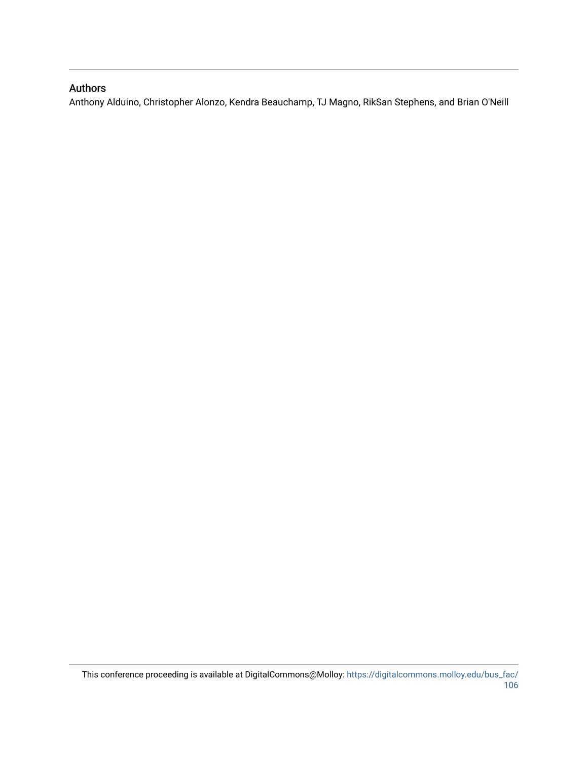### Authors

Anthony Alduino, Christopher Alonzo, Kendra Beauchamp, TJ Magno, RikSan Stephens, and Brian O'Neill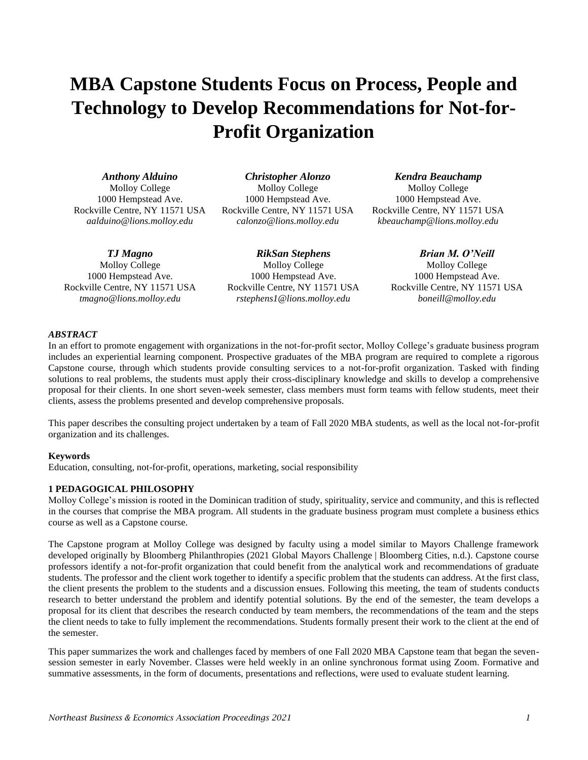# **MBA Capstone Students Focus on Process, People and Technology to Develop Recommendations for Not-for-Profit Organization**

*Anthony Alduino*

Molloy College 1000 Hempstead Ave. Rockville Centre, NY 11571 USA *aalduino@lions.molloy.edu*

*TJ Magno*

Molloy College 1000 Hempstead Ave. Rockville Centre, NY 11571 USA *tmagno@lions.molloy.edu*

*Christopher Alonzo* Molloy College 1000 Hempstead Ave. Rockville Centre, NY 11571 USA *calonzo@lions.molloy.edu*

*RikSan Stephens* Molloy College 1000 Hempstead Ave. Rockville Centre, NY 11571 USA *rstephens1@lions.molloy.edu*

*Kendra Beauchamp*

Molloy College 1000 Hempstead Ave. Rockville Centre, NY 11571 USA *kbeauchamp@lions.molloy.edu*

*Brian M. O'Neill* Molloy College 1000 Hempstead Ave. Rockville Centre, NY 11571 USA *boneill@molloy.edu*

#### *ABSTRACT*

In an effort to promote engagement with organizations in the not-for-profit sector, Molloy College's graduate business program includes an experiential learning component. Prospective graduates of the MBA program are required to complete a rigorous Capstone course, through which students provide consulting services to a not-for-profit organization. Tasked with finding solutions to real problems, the students must apply their cross-disciplinary knowledge and skills to develop a comprehensive proposal for their clients. In one short seven-week semester, class members must form teams with fellow students, meet their clients, assess the problems presented and develop comprehensive proposals.

This paper describes the consulting project undertaken by a team of Fall 2020 MBA students, as well as the local not-for-profit organization and its challenges.

#### **Keywords**

Education, consulting, not-for-profit, operations, marketing, social responsibility

#### **1 PEDAGOGICAL PHILOSOPHY**

Molloy College's mission is rooted in the Dominican tradition of study, spirituality, service and community, and this is reflected in the courses that comprise the MBA program. All students in the graduate business program must complete a business ethics course as well as a Capstone course.

The Capstone program at Molloy College was designed by faculty using a model similar to Mayors Challenge framework developed originally by Bloomberg Philanthropies (2021 Global Mayors Challenge | Bloomberg Cities, n.d.). Capstone course professors identify a not-for-profit organization that could benefit from the analytical work and recommendations of graduate students. The professor and the client work together to identify a specific problem that the students can address. At the first class, the client presents the problem to the students and a discussion ensues. Following this meeting, the team of students conducts research to better understand the problem and identify potential solutions. By the end of the semester, the team develops a proposal for its client that describes the research conducted by team members, the recommendations of the team and the steps the client needs to take to fully implement the recommendations. Students formally present their work to the client at the end of the semester.

This paper summarizes the work and challenges faced by members of one Fall 2020 MBA Capstone team that began the sevensession semester in early November. Classes were held weekly in an online synchronous format using Zoom. Formative and summative assessments, in the form of documents, presentations and reflections, were used to evaluate student learning.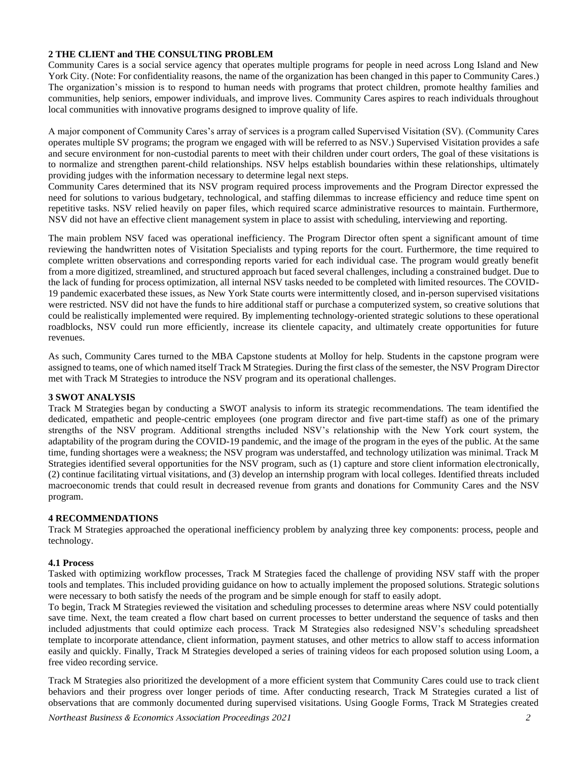#### **2 THE CLIENT and THE CONSULTING PROBLEM**

Community Cares is a social service agency that operates multiple programs for people in need across Long Island and New York City. (Note: For confidentiality reasons, the name of the organization has been changed in this paper to Community Cares.) The organization's mission is to respond to human needs with programs that protect children, promote healthy families and communities, help seniors, empower individuals, and improve lives. Community Cares aspires to reach individuals throughout local communities with innovative programs designed to improve quality of life.

A major component of Community Cares's array of services is a program called Supervised Visitation (SV). (Community Cares operates multiple SV programs; the program we engaged with will be referred to as NSV.) Supervised Visitation provides a safe and secure environment for non-custodial parents to meet with their children under court orders, The goal of these visitations is to normalize and strengthen parent-child relationships. NSV helps establish boundaries within these relationships, ultimately providing judges with the information necessary to determine legal next steps.

Community Cares determined that its NSV program required process improvements and the Program Director expressed the need for solutions to various budgetary, technological, and staffing dilemmas to increase efficiency and reduce time spent on repetitive tasks. NSV relied heavily on paper files, which required scarce administrative resources to maintain. Furthermore, NSV did not have an effective client management system in place to assist with scheduling, interviewing and reporting.

The main problem NSV faced was operational inefficiency. The Program Director often spent a significant amount of time reviewing the handwritten notes of Visitation Specialists and typing reports for the court. Furthermore, the time required to complete written observations and corresponding reports varied for each individual case. The program would greatly benefit from a more digitized, streamlined, and structured approach but faced several challenges, including a constrained budget. Due to the lack of funding for process optimization, all internal NSV tasks needed to be completed with limited resources. The COVID-19 pandemic exacerbated these issues, as New York State courts were intermittently closed, and in-person supervised visitations were restricted. NSV did not have the funds to hire additional staff or purchase a computerized system, so creative solutions that could be realistically implemented were required. By implementing technology-oriented strategic solutions to these operational roadblocks, NSV could run more efficiently, increase its clientele capacity, and ultimately create opportunities for future revenues.

As such, Community Cares turned to the MBA Capstone students at Molloy for help. Students in the capstone program were assigned to teams, one of which named itself Track M Strategies. During the first class of the semester, the NSV Program Director met with Track M Strategies to introduce the NSV program and its operational challenges.

#### **3 SWOT ANALYSIS**

Track M Strategies began by conducting a SWOT analysis to inform its strategic recommendations. The team identified the dedicated, empathetic and people-centric employees (one program director and five part-time staff) as one of the primary strengths of the NSV program. Additional strengths included NSV's relationship with the New York court system, the adaptability of the program during the COVID-19 pandemic, and the image of the program in the eyes of the public. At the same time, funding shortages were a weakness; the NSV program was understaffed, and technology utilization was minimal. Track M Strategies identified several opportunities for the NSV program, such as (1) capture and store client information electronically, (2) continue facilitating virtual visitations, and (3) develop an internship program with local colleges. Identified threats included macroeconomic trends that could result in decreased revenue from grants and donations for Community Cares and the NSV program.

#### **4 RECOMMENDATIONS**

Track M Strategies approached the operational inefficiency problem by analyzing three key components: process, people and technology.

#### **4.1 Process**

Tasked with optimizing workflow processes, Track M Strategies faced the challenge of providing NSV staff with the proper tools and templates. This included providing guidance on how to actually implement the proposed solutions. Strategic solutions were necessary to both satisfy the needs of the program and be simple enough for staff to easily adopt.

To begin, Track M Strategies reviewed the visitation and scheduling processes to determine areas where NSV could potentially save time. Next, the team created a flow chart based on current processes to better understand the sequence of tasks and then included adjustments that could optimize each process. Track M Strategies also redesigned NSV's scheduling spreadsheet template to incorporate attendance, client information, payment statuses, and other metrics to allow staff to access information easily and quickly. Finally, Track M Strategies developed a series of training videos for each proposed solution using Loom, a free video recording service.

Track M Strategies also prioritized the development of a more efficient system that Community Cares could use to track client behaviors and their progress over longer periods of time. After conducting research, Track M Strategies curated a list of observations that are commonly documented during supervised visitations. Using Google Forms, Track M Strategies created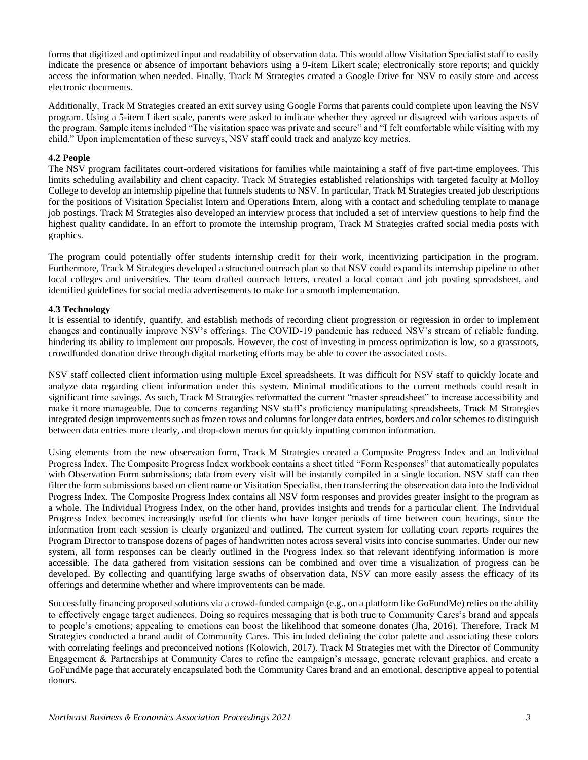forms that digitized and optimized input and readability of observation data. This would allow Visitation Specialist staff to easily indicate the presence or absence of important behaviors using a 9-item Likert scale; electronically store reports; and quickly access the information when needed. Finally, Track M Strategies created a Google Drive for NSV to easily store and access electronic documents.

Additionally, Track M Strategies created an exit survey using Google Forms that parents could complete upon leaving the NSV program. Using a 5-item Likert scale, parents were asked to indicate whether they agreed or disagreed with various aspects of the program. Sample items included "The visitation space was private and secure" and "I felt comfortable while visiting with my child." Upon implementation of these surveys, NSV staff could track and analyze key metrics.

#### **4.2 People**

The NSV program facilitates court-ordered visitations for families while maintaining a staff of five part-time employees. This limits scheduling availability and client capacity. Track M Strategies established relationships with targeted faculty at Molloy College to develop an internship pipeline that funnels students to NSV. In particular, Track M Strategies created job descriptions for the positions of Visitation Specialist Intern and Operations Intern, along with a contact and scheduling template to manage job postings. Track M Strategies also developed an interview process that included a set of interview questions to help find the highest quality candidate. In an effort to promote the internship program, Track M Strategies crafted social media posts with graphics.

The program could potentially offer students internship credit for their work, incentivizing participation in the program. Furthermore, Track M Strategies developed a structured outreach plan so that NSV could expand its internship pipeline to other local colleges and universities. The team drafted outreach letters, created a local contact and job posting spreadsheet, and identified guidelines for social media advertisements to make for a smooth implementation.

#### **4.3 Technology**

It is essential to identify, quantify, and establish methods of recording client progression or regression in order to implement changes and continually improve NSV's offerings. The COVID-19 pandemic has reduced NSV's stream of reliable funding, hindering its ability to implement our proposals. However, the cost of investing in process optimization is low, so a grassroots, crowdfunded donation drive through digital marketing efforts may be able to cover the associated costs.

NSV staff collected client information using multiple Excel spreadsheets. It was difficult for NSV staff to quickly locate and analyze data regarding client information under this system. Minimal modifications to the current methods could result in significant time savings. As such, Track M Strategies reformatted the current "master spreadsheet" to increase accessibility and make it more manageable. Due to concerns regarding NSV staff's proficiency manipulating spreadsheets, Track M Strategies integrated design improvements such as frozen rows and columns for longer data entries, borders and color schemes to distinguish between data entries more clearly, and drop-down menus for quickly inputting common information.

Using elements from the new observation form, Track M Strategies created a Composite Progress Index and an Individual Progress Index. The Composite Progress Index workbook contains a sheet titled "Form Responses" that automatically populates with Observation Form submissions; data from every visit will be instantly compiled in a single location. NSV staff can then filter the form submissions based on client name or Visitation Specialist, then transferring the observation data into the Individual Progress Index. The Composite Progress Index contains all NSV form responses and provides greater insight to the program as a whole. The Individual Progress Index, on the other hand, provides insights and trends for a particular client. The Individual Progress Index becomes increasingly useful for clients who have longer periods of time between court hearings, since the information from each session is clearly organized and outlined. The current system for collating court reports requires the Program Director to transpose dozens of pages of handwritten notes across several visits into concise summaries. Under our new system, all form responses can be clearly outlined in the Progress Index so that relevant identifying information is more accessible. The data gathered from visitation sessions can be combined and over time a visualization of progress can be developed. By collecting and quantifying large swaths of observation data, NSV can more easily assess the efficacy of its offerings and determine whether and where improvements can be made.

Successfully financing proposed solutions via a crowd-funded campaign (e.g., on a platform like GoFundMe) relies on the ability to effectively engage target audiences. Doing so requires messaging that is both true to Community Cares's brand and appeals to people's emotions; appealing to emotions can boost the likelihood that someone donates (Jha, 2016). Therefore, Track M Strategies conducted a brand audit of Community Cares. This included defining the color palette and associating these colors with correlating feelings and preconceived notions (Kolowich, 2017). Track M Strategies met with the Director of Community Engagement & Partnerships at Community Cares to refine the campaign's message, generate relevant graphics, and create a GoFundMe page that accurately encapsulated both the Community Cares brand and an emotional, descriptive appeal to potential donors.